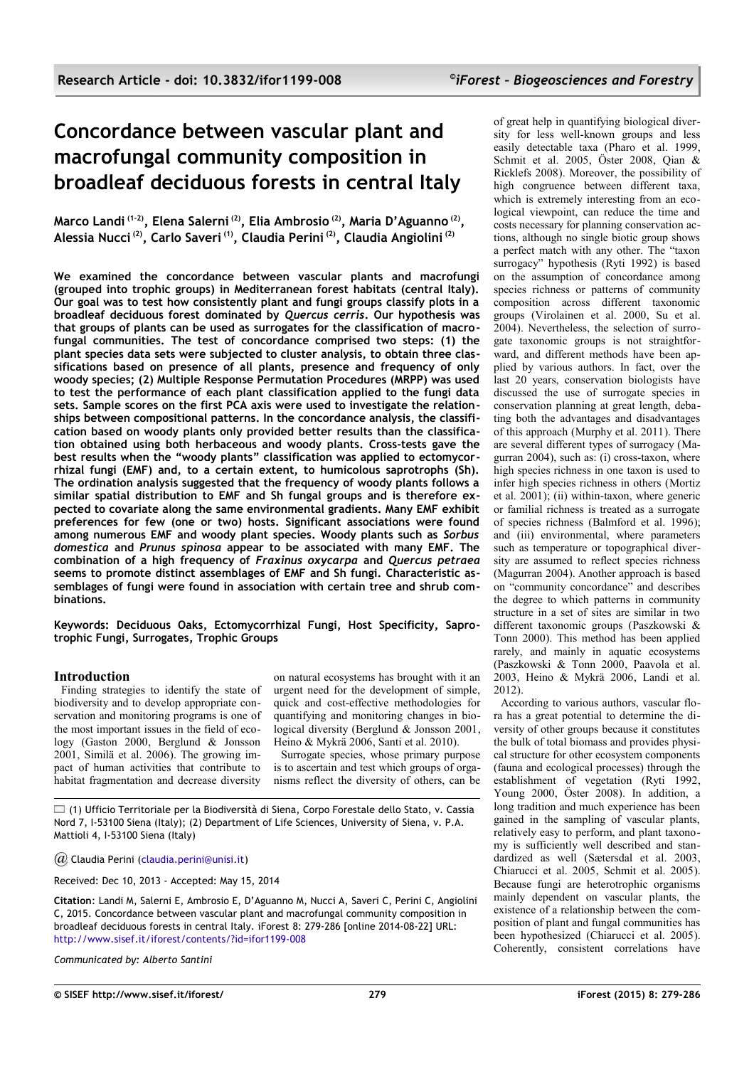# **Concordance between vascular plant and macrofungal community composition in broadleaf deciduous forests in central Italy**

**Marco Landi (1-2), Elena Salerni (2), Elia Ambrosio (2), Maria D'Aguanno (2) , Alessia Nucci (2), Carlo Saveri (1), Claudia Perini (2), Claudia Angiolini (2)**

**We examined the concordance between vascular plants and macrofungi (grouped into trophic groups) in Mediterranean forest habitats (central Italy). Our goal was to test how consistently plant and fungi groups classify plots in a broadleaf deciduous forest dominated by** *Quercus cerris***. Our hypothesis was that groups of plants can be used as surrogates for the classification of macrofungal communities. The test of concordance comprised two steps: (1) the plant species data sets were subjected to cluster analysis, to obtain three classifications based on presence of all plants, presence and frequency of only woody species; (2) Multiple Response Permutation Procedures (MRPP) was used to test the performance of each plant classification applied to the fungi data sets. Sample scores on the first PCA axis were used to investigate the relationships between compositional patterns. In the concordance analysis, the classification based on woody plants only provided better results than the classification obtained using both herbaceous and woody plants. Cross-tests gave the best results when the "woody plants" classification was applied to ectomycorrhizal fungi (EMF) and, to a certain extent, to humicolous saprotrophs (Sh). The ordination analysis suggested that the frequency of woody plants follows a similar spatial distribution to EMF and Sh fungal groups and is therefore expected to covariate along the same environmental gradients. Many EMF exhibit preferences for few (one or two) hosts. Significant associations were found among numerous EMF and woody plant species. Woody plants such as** *Sorbus domestica* **and** *Prunus spinosa* **appear to be associated with many EMF. The combination of a high frequency of** *Fraxinus oxycarpa* **and** *Quercus petraea* **seems to promote distinct assemblages of EMF and Sh fungi. Characteristic assemblages of fungi were found in association with certain tree and shrub combinations.**

**Keywords: Deciduous Oaks, Ectomycorrhizal Fungi, Host Specificity, Saprotrophic Fungi, Surrogates, Trophic Groups**

# **Introduction**

Finding strategies to identify the state of biodiversity and to develop appropriate conservation and monitoring programs is one of the most important issues in the field of ecology (Gaston 2000, Berglund & Jonsson 2001, Similä et al. 2006). The growing impact of human activities that contribute to habitat fragmentation and decrease diversity

on natural ecosystems has brought with it an urgent need for the development of simple, quick and cost-effective methodologies for quantifying and monitoring changes in biological diversity (Berglund & Jonsson 2001, Heino & Mykrä 2006, Santi et al. 2010).

Surrogate species, whose primary purpose is to ascertain and test which groups of organisms reflect the diversity of others, can be

 $\Box$  (1) Ufficio Territoriale per la Biodiversità di Siena, Corpo Forestale dello Stato, v. Cassia Nord 7, I-53100 Siena (Italy); (2) Department of Life Sciences, University of Siena, v. P.A. Mattioli 4, I-53100 Siena (Italy)

*@* Claudia Perini [\(claudia.perini@unisi.it\)](mailto:)

Received: Dec 10, 2013 - Accepted: May 15, 2014

**Citation**: Landi M, Salerni E, Ambrosio E, D'Aguanno M, Nucci A, Saveri C, Perini C, Angiolini C, 2015. Concordance between vascular plant and macrofungal community composition in broadleaf deciduous forests in central Italy. iForest 8: 279-286 [online 2014-08-22] URL: <http://www.sisef.it/iforest/contents/?id=ifor1199-008>

*Communicated by: Alberto Santini*

**© SISEF http://www.sisef.it/iforest/ 279 iForest (2015) 8: 279-286**

of great help in quantifying biological diversity for less well-known groups and less easily detectable taxa (Pharo et al. 1999, Schmit et al. 2005, Öster 2008, Qian & Ricklefs 2008). Moreover, the possibility of high congruence between different taxa, which is extremely interesting from an ecological viewpoint, can reduce the time and costs necessary for planning conservation actions, although no single biotic group shows a perfect match with any other. The "taxon surrogacy" hypothesis (Ryti 1992) is based on the assumption of concordance among species richness or patterns of community composition across different taxonomic groups (Virolainen et al. 2000, Su et al. 2004). Nevertheless, the selection of surrogate taxonomic groups is not straightforward, and different methods have been applied by various authors. In fact, over the last 20 years, conservation biologists have discussed the use of surrogate species in conservation planning at great length, debating both the advantages and disadvantages of this approach (Murphy et al. 2011). There are several different types of surrogacy (Magurran 2004), such as: (i) cross-taxon, where high species richness in one taxon is used to infer high species richness in others (Mortiz et al. 2001); (ii) within-taxon, where generic or familial richness is treated as a surrogate of species richness (Balmford et al. 1996); and (iii) environmental, where parameters such as temperature or topographical diversity are assumed to reflect species richness (Magurran 2004). Another approach is based on "community concordance" and describes the degree to which patterns in community structure in a set of sites are similar in two different taxonomic groups (Paszkowski & Tonn 2000). This method has been applied rarely, and mainly in aquatic ecosystems (Paszkowski & Tonn 2000, Paavola et al. 2003, Heino & Mykrä 2006, Landi et al. 2012).

According to various authors, vascular flora has a great potential to determine the diversity of other groups because it constitutes the bulk of total biomass and provides physical structure for other ecosystem components (fauna and ecological processes) through the establishment of vegetation (Ryti 1992, Young 2000, Öster 2008). In addition, a long tradition and much experience has been gained in the sampling of vascular plants, relatively easy to perform, and plant taxonomy is sufficiently well described and standardized as well (Sætersdal et al. 2003, Chiarucci et al. 2005, Schmit et al. 2005). Because fungi are heterotrophic organisms mainly dependent on vascular plants, the existence of a relationship between the composition of plant and fungal communities has been hypothesized (Chiarucci et al. 2005). Coherently, consistent correlations have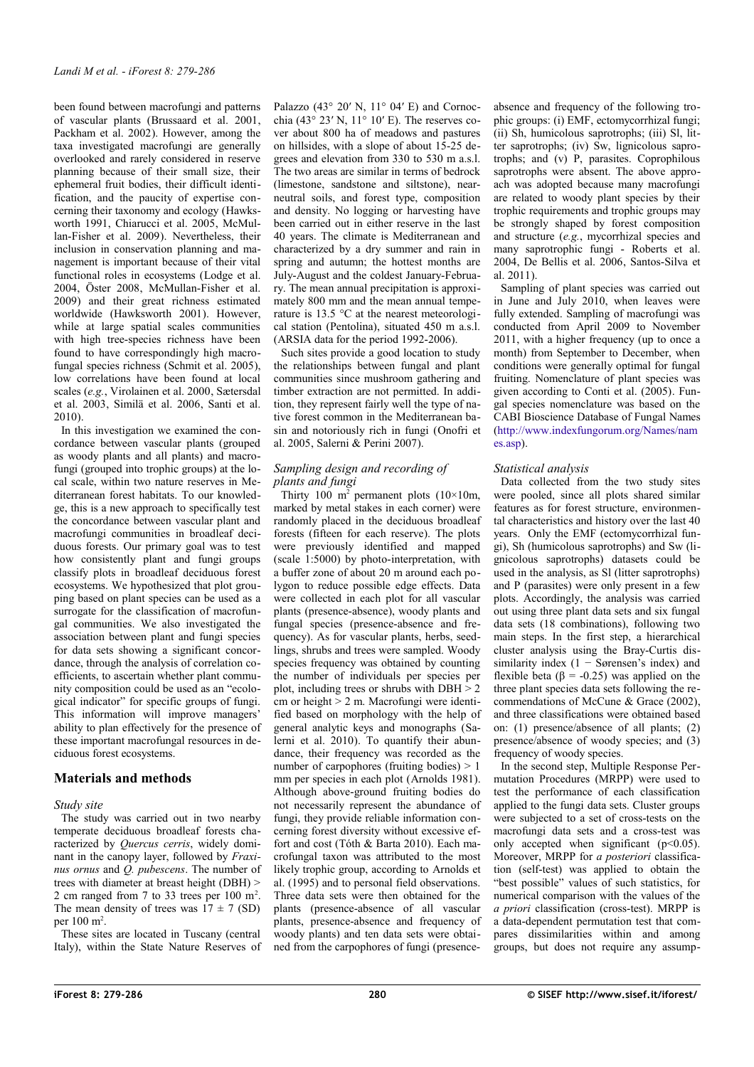been found between macrofungi and patterns of vascular plants (Brussaard et al. 2001, Packham et al. 2002). However, among the taxa investigated macrofungi are generally overlooked and rarely considered in reserve planning because of their small size, their ephemeral fruit bodies, their difficult identification, and the paucity of expertise concerning their taxonomy and ecology (Hawksworth 1991, Chiarucci et al. 2005, McMullan-Fisher et al. 2009). Nevertheless, their inclusion in conservation planning and management is important because of their vital functional roles in ecosystems (Lodge et al. 2004, Öster 2008, McMullan-Fisher et al. 2009) and their great richness estimated worldwide (Hawksworth 2001). However, while at large spatial scales communities with high tree-species richness have been found to have correspondingly high macrofungal species richness (Schmit et al. 2005), low correlations have been found at local scales (*e.g.*, Virolainen et al. 2000, Sætersdal et al. 2003, Similä et al. 2006, Santi et al. 2010).

In this investigation we examined the concordance between vascular plants (grouped as woody plants and all plants) and macrofungi (grouped into trophic groups) at the local scale, within two nature reserves in Mediterranean forest habitats. To our knowledge, this is a new approach to specifically test the concordance between vascular plant and macrofungi communities in broadleaf deciduous forests. Our primary goal was to test how consistently plant and fungi groups classify plots in broadleaf deciduous forest ecosystems. We hypothesized that plot grouping based on plant species can be used as a surrogate for the classification of macrofungal communities. We also investigated the association between plant and fungi species for data sets showing a significant concordance, through the analysis of correlation coefficients, to ascertain whether plant community composition could be used as an "ecological indicator" for specific groups of fungi. This information will improve managers' ability to plan effectively for the presence of these important macrofungal resources in deciduous forest ecosystems.

# **Materials and methods**

## *Study site*

The study was carried out in two nearby temperate deciduous broadleaf forests characterized by *Quercus cerris*, widely dominant in the canopy layer, followed by *Fraxinus ornus* and *Q. pubescens*. The number of trees with diameter at breast height (DBH) > 2 cm ranged from 7 to 33 trees per 100 m<sup>2</sup>. The mean density of trees was  $17 \pm 7$  (SD) per  $100 \text{ m}^2$ .

These sites are located in Tuscany (central Italy), within the State Nature Reserves of

Palazzo (43 $\degree$  20' N, 11 $\degree$  04' E) and Cornocchia  $(43^{\circ} 23' N, 11^{\circ} 10' E)$ . The reserves cover about 800 ha of meadows and pastures on hillsides, with a slope of about  $15-25$  degrees and elevation from 330 to 530 m a.s.l. The two areas are similar in terms of bedrock (limestone, sandstone and siltstone), nearneutral soils, and forest type, composition and density. No logging or harvesting have been carried out in either reserve in the last 40 years. The climate is Mediterranean and characterized by a dry summer and rain in spring and autumn; the hottest months are July-August and the coldest January-February. The mean annual precipitation is approximately 800 mm and the mean annual temperature is 13.5 °C at the nearest meteorological station (Pentolina), situated 450 m a.s.l. (ARSIA data for the period 1992-2006).

Such sites provide a good location to study the relationships between fungal and plant communities since mushroom gathering and timber extraction are not permitted. In addition, they represent fairly well the type of native forest common in the Mediterranean basin and notoriously rich in fungi (Onofri et al. 2005, Salerni & Perini 2007).

### *Sampling design and recording of plants and fungi*

Thirty 100 m<sup>2</sup> permanent plots (10×10m, marked by metal stakes in each corner) were randomly placed in the deciduous broadleaf forests (fifteen for each reserve). The plots were previously identified and mapped (scale 1:5000) by photo-interpretation, with a buffer zone of about 20 m around each polygon to reduce possible edge effects. Data were collected in each plot for all vascular plants (presence-absence), woody plants and fungal species (presence-absence and frequency). As for vascular plants, herbs, seedlings, shrubs and trees were sampled. Woody species frequency was obtained by counting the number of individuals per species per plot, including trees or shrubs with DBH  $> 2$ cm or height  $> 2$  m. Macrofungi were identified based on morphology with the help of general analytic keys and monographs (Salerni et al. 2010). To quantify their abundance, their frequency was recorded as the number of carpophores (fruiting bodies)  $> 1$ mm per species in each plot (Arnolds 1981). Although above-ground fruiting bodies do not necessarily represent the abundance of fungi, they provide reliable information concerning forest diversity without excessive effort and cost (Tóth & Barta 2010). Each macrofungal taxon was attributed to the most likely trophic group, according to Arnolds et al. (1995) and to personal field observations. Three data sets were then obtained for the plants (presence-absence of all vascular plants, presence-absence and frequency of woody plants) and ten data sets were obtained from the carpophores of fungi (presenceabsence and frequency of the following trophic groups: (i) EMF, ectomycorrhizal fungi; (ii) Sh, humicolous saprotrophs; (iii) Sl, litter saprotrophs; (iv) Sw, lignicolous saprotrophs; and (v) P, parasites. Coprophilous saprotrophs were absent. The above approach was adopted because many macrofungi are related to woody plant species by their trophic requirements and trophic groups may be strongly shaped by forest composition and structure (*e.g.*, mycorrhizal species and many saprotrophic fungi - Roberts et al. 2004, De Bellis et al. 2006, Santos-Silva et al. 2011).

Sampling of plant species was carried out in June and July 2010, when leaves were fully extended. Sampling of macrofungi was conducted from April 2009 to November 2011, with a higher frequency (up to once a month) from September to December, when conditions were generally optimal for fungal fruiting. Nomenclature of plant species was given according to Conti et al. (2005). Fungal species nomenclature was based on the CABI Bioscience Database of Fungal Names [\(http://www.indexfungorum.org/Nam](http://www.indexfungorum.org/Nam)[es/nam](http://www.indexfungorum.org/Names/names.asp) [es.asp\)](http://www.indexfungorum.org/Names/names.asp).

## *Statistical analysis*

Data collected from the two study sites were pooled, since all plots shared similar features as for forest structure, environmental characteristics and history over the last 40 years. Only the EMF (ectomycorrhizal fungi), Sh (humicolous saprotrophs) and Sw (lignicolous saprotrophs) datasets could be used in the analysis, as Sl (litter saprotrophs) and P (parasites) were only present in a few plots. Accordingly, the analysis was carried out using three plant data sets and six fungal data sets (18 combinations), following two main steps. In the first step, a hierarchical cluster analysis using the Bray-Curtis dissimilarity index  $(1 - S\sigma)$  index) and flexible beta  $(β = -0.25)$  was applied on the three plant species data sets following the recommendations of McCune & Grace (2002), and three classifications were obtained based on: (1) presence/absence of all plants; (2) presence/absence of woody species; and (3) frequency of woody species.

In the second step, Multiple Response Permutation Procedures (MRPP) were used to test the performance of each classification applied to the fungi data sets. Cluster groups were subjected to a set of cross-tests on the macrofungi data sets and a cross-test was only accepted when significant  $(p<0.05)$ . Moreover, MRPP for *a posteriori* classification (self-test) was applied to obtain the "best possible" values of such statistics, for numerical comparison with the values of the *a priori* classification (cross-test). MRPP is a data-dependent permutation test that compares dissimilarities within and among groups, but does not require any assump-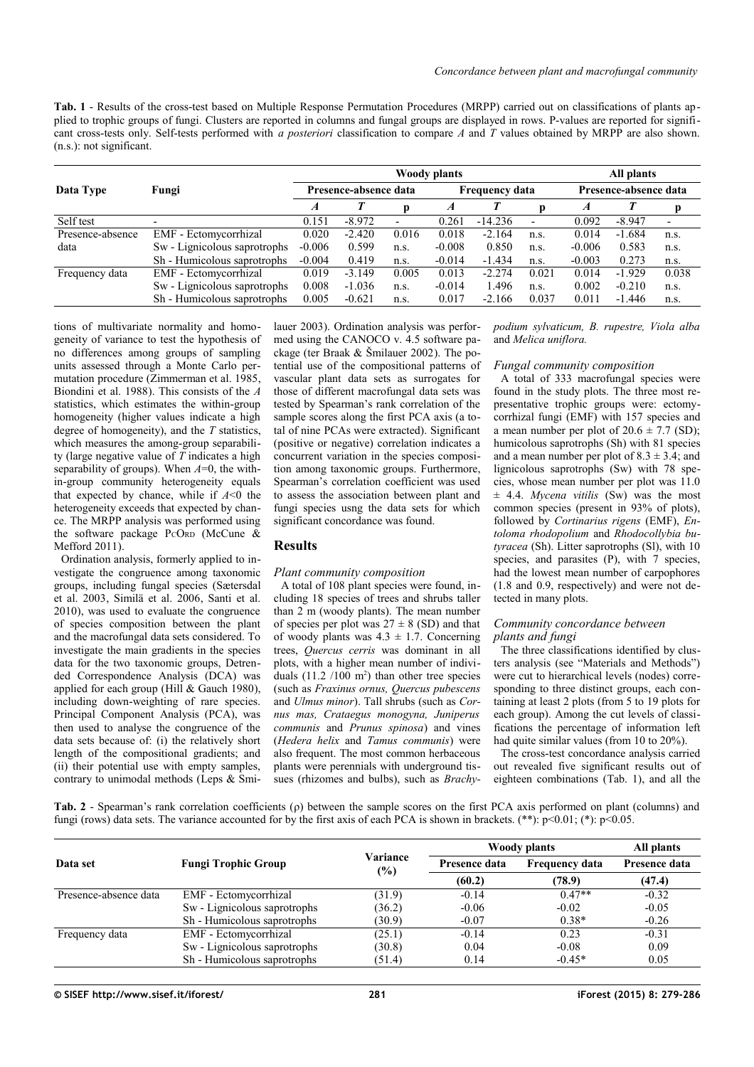<span id="page-2-0"></span>**Tab. 1** - Results of the cross-test based on Multiple Response Permutation Procedures (MRPP) carried out on classifications of plants applied to trophic groups of fungi. Clusters are reported in columns and fungal groups are displayed in rows. P-values are reported for significant cross-tests only. Self-tests performed with *a posteriori* classification to compare *A* and *T* values obtained by MRPP are also shown. (n.s.): not significant.

|                  |                              |          |                       | <b>Woody plants</b> | All plants       |                |       |                       |          |       |  |
|------------------|------------------------------|----------|-----------------------|---------------------|------------------|----------------|-------|-----------------------|----------|-------|--|
| Data Type        | Fungi                        |          | Presence-absence data |                     |                  | Frequency data |       | Presence-absence data |          |       |  |
|                  |                              | A        |                       | р                   | $\boldsymbol{A}$ |                | p     | A                     |          | р     |  |
| Self test        | $\overline{\phantom{0}}$     | 0.151    | $-8.972$              |                     | 0.261            | $-14.236$      |       | 0.092                 | $-8.947$ |       |  |
| Presence-absence | EMF - Ectomycorrhizal        | 0.020    | $-2.420$              | 0.016               | 0.018            | $-2.164$       | n.s.  | 0.014                 | $-1.684$ | n.s.  |  |
| data             | Sw - Lignicolous saprotrophs | $-0.006$ | 0.599                 | n.s.                | $-0.008$         | 0.850          | n.s.  | $-0.006$              | 0.583    | n.s.  |  |
|                  | Sh - Humicolous saprotrophs  | $-0.004$ | 0.419                 | n.s.                | $-0.014$         | $-1.434$       | n.s.  | $-0.003$              | 0.273    | n.s.  |  |
| Frequency data   | EMF - Ectomycorrhizal        | 0.019    | $-3.149$              | 0.005               | 0.013            | $-2.274$       | 0.021 | 0.014                 | $-1.929$ | 0.038 |  |
|                  | Sw - Lignicolous saprotrophs | 0.008    | $-1.036$              | n.S.                | $-0.014$         | 1.496          | n.s.  | 0.002                 | $-0.210$ | n.s.  |  |
|                  | Sh - Humicolous saprotrophs  | 0.005    | $-0.621$              | n.s.                | 0.017            | $-2.166$       | 0.037 | 0.011                 | $-1.446$ | n.s.  |  |

tions of multivariate normality and homogeneity of variance to test the hypothesis of no differences among groups of sampling units assessed through a Monte Carlo permutation procedure (Zimmerman et al. 1985, Biondini et al. 1988). This consists of the *A* statistics, which estimates the within-group homogeneity (higher values indicate a high degree of homogeneity), and the *T* statistics, which measures the among-group separability (large negative value of *T* indicates a high separability of groups). When *A*=0, the within-group community heterogeneity equals that expected by chance, while if  $A \le 0$  the heterogeneity exceeds that expected by chance. The MRPP analysis was performed using the software package PcORD (McCune  $\&$ Mefford 2011).

Ordination analysis, formerly applied to investigate the congruence among taxonomic groups, including fungal species (Sætersdal et al. 2003, Similä et al. 2006, Santi et al. 2010), was used to evaluate the congruence of species composition between the plant and the macrofungal data sets considered. To investigate the main gradients in the species data for the two taxonomic groups, Detrended Correspondence Analysis (DCA) was applied for each group (Hill & Gauch 1980), including down-weighting of rare species. Principal Component Analysis (PCA), was then used to analyse the congruence of the data sets because of: (i) the relatively short length of the compositional gradients; and (ii) their potential use with empty samples, contrary to unimodal methods (Leps & Smilauer 2003). Ordination analysis was performed using the CANOCO v. 4.5 software package (ter Braak & Šmilauer 2002). The potential use of the compositional patterns of vascular plant data sets as surrogates for those of different macrofungal data sets was tested by Spearman's rank correlation of the sample scores along the first PCA axis (a total of nine PCAs were extracted). Significant (positive or negative) correlation indicates a concurrent variation in the species composition among taxonomic groups. Furthermore, Spearman's correlation coefficient was used to assess the association between plant and fungi species usng the data sets for which significant concordance was found.

# **Results**

#### *Plant community composition*

A total of 108 plant species were found, including 18 species of trees and shrubs taller than 2 m (woody plants). The mean number of species per plot was  $27 \pm 8$  (SD) and that of woody plants was  $4.3 \pm 1.7$ . Concerning trees, *Quercus cerris* was dominant in all plots, with a higher mean number of individuals  $(11.2 / 100 \text{ m}^2)$  than other tree species (such as *Fraxinus ornus, Quercus pubescens* and *Ulmus minor*). Tall shrubs (such as *Cornus mas, Crataegus monogyna, Juniperus communis* and *Prunus spinosa*) and vines (*Hedera helix* and *Tamus communis*) were also frequent. The most common herbaceous plants were perennials with underground tissues (rhizomes and bulbs), such as *Brachy-*

#### *podium sylvaticum, B. rupestre, Viola alba* and *Melica uniflora.*

## *Fungal community composition*

A total of 333 macrofungal species were found in the study plots. The three most representative trophic groups were: ectomycorrhizal fungi (EMF) with 157 species and a mean number per plot of  $20.6 \pm 7.7$  (SD); humicolous saprotrophs (Sh) with 81 species and a mean number per plot of  $8.3 \pm 3.4$ ; and lignicolous saprotrophs (Sw) with 78 species, whose mean number per plot was 11.0 ± 4.4. *Mycena vitilis* (Sw) was the most common species (present in 93% of plots), followed by *Cortinarius rigens* (EMF), *Entoloma rhodopolium* and *Rhodocollybia butyracea* (Sh). Litter saprotrophs (Sl), with 10 species, and parasites (P), with 7 species, had the lowest mean number of carpophores (1.8 and 0.9, respectively) and were not detected in many plots.

#### *Community concordance between plants and fungi*

The three classifications identified by clusters analysis (see "Materials and Methods") were cut to hierarchical levels (nodes) corresponding to three distinct groups, each containing at least 2 plots (from 5 to 19 plots for each group). Among the cut levels of classifications the percentage of information left had quite similar values (from 10 to 20%).

The cross-test concordance analysis carried out revealed five significant results out of eighteen combinations [\(Tab. 1\)](#page-2-0), and all the

<span id="page-2-1"></span>**Tab. 2** - Spearman's rank correlation coefficients (ρ) between the sample scores on the first PCA axis performed on plant (columns) and fungi (rows) data sets. The variance accounted for by the first axis of each PCA is shown in brackets. (\*\*):  $p<0.01$ ; (\*):  $p<0.05$ .

|                       |                              |                    | <b>Woody plants</b> | All plants            |               |  |
|-----------------------|------------------------------|--------------------|---------------------|-----------------------|---------------|--|
| Data set              | <b>Fungi Trophic Group</b>   | Variance<br>$(\%)$ | Presence data       | <b>Frequency data</b> | Presence data |  |
|                       |                              |                    | (60.2)              | (78.9)                | (47.4)        |  |
| Presence-absence data | EMF - Ectomycorrhizal        | (31.9)             | $-0.14$             | $0.47**$              | $-0.32$       |  |
|                       | Sw - Lignicolous saprotrophs | (36.2)             | $-0.06$             | $-0.02$               | $-0.05$       |  |
|                       | Sh - Humicolous saprotrophs  | (30.9)             | $-0.07$             | $0.38*$               | $-0.26$       |  |
| Frequency data        | EMF - Ectomycorrhizal        | (25.1)             | $-0.14$             | 0.23                  | $-0.31$       |  |
|                       | Sw - Lignicolous saprotrophs | (30.8)             | 0.04                | $-0.08$               | 0.09          |  |
|                       | Sh - Humicolous saprotrophs  | (51.4)             | 0.14                | $-0.45*$              | 0.05          |  |

**© SISEF http://www.sisef.it/iforest/ 281 iForest (2015) 8: 279-286**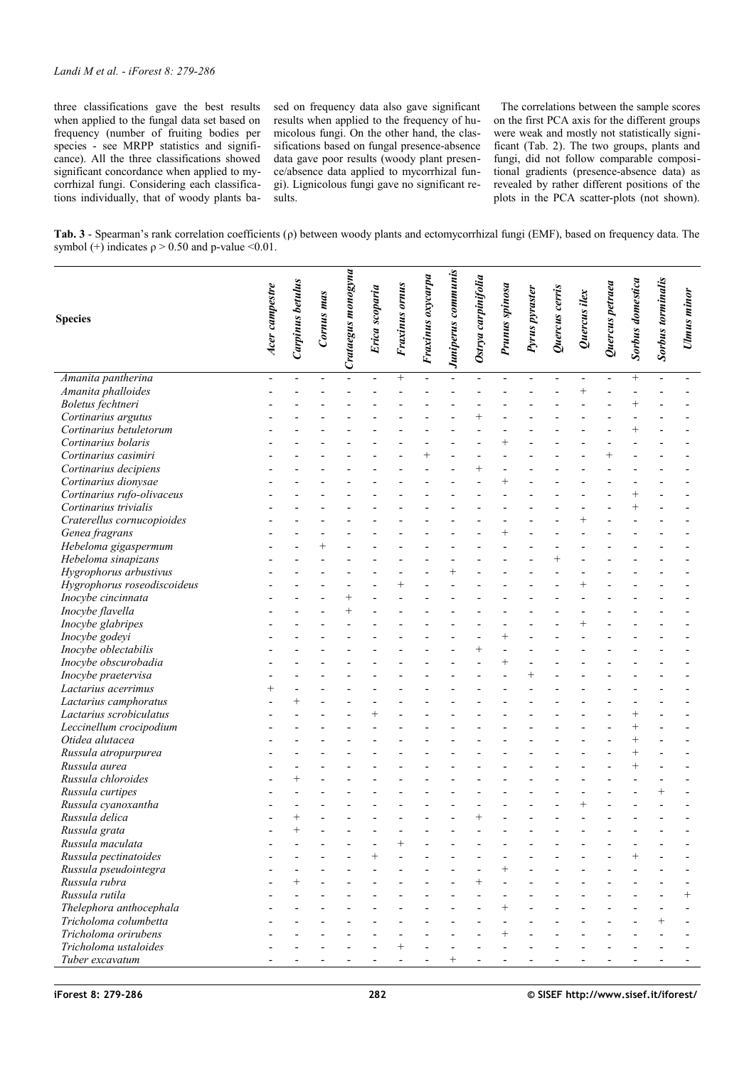#### *Landi M et al. - iForest 8: 279-286*

three classifications gave the best results when applied to the fungal data set based on frequency (number of fruiting bodies per species - see MRPP statistics and significance). All the three classifications showed significant concordance when applied to mycorrhizal fungi. Considering each classifications individually, that of woody plants ba-

sed on frequency data also gave significant results when applied to the frequency of humicolous fungi. On the other hand, the classifications based on fungal presence-absence data gave poor results (woody plant presence/absence data applied to mycorrhizal fungi). Lignicolous fungi gave no significant results.

The correlations between the sample scores on the first PCA axis for the different groups were weak and mostly not statistically significant [\(Tab. 2\)](#page-2-1). The two groups, plants and fungi, did not follow comparable compositional gradients (presence-absence data) as revealed by rather different positions of the plots in the PCA scatter-plots (not shown).

<span id="page-3-0"></span>**Tab. 3** - Spearman's rank correlation coefficients (ρ) between woody plants and ectomycorrhizal fungi (EMF), based on frequency data. The symbol (+) indicates  $\rho > 0.50$  and p-value <0.01.

| <b>Species</b>              | Acer campestre | Carpinus betulus | Cornus mas | Crataegus monogyna | Erica scoparia | <b>Fraxinus ornus</b> | Fraxinus oxycarpa | Juniperus communis | Ostrya carpinifolia | Prunus spinosa | Pyrus pyraster | Quercus cerris | Quercus ilex | Quercus petraea | Sorbus domestica | Sorbus torminalis | Ulmus minor |
|-----------------------------|----------------|------------------|------------|--------------------|----------------|-----------------------|-------------------|--------------------|---------------------|----------------|----------------|----------------|--------------|-----------------|------------------|-------------------|-------------|
| Amanita pantherina          |                |                  |            |                    |                | $^{+}$                |                   |                    |                     |                |                |                |              |                 | $^{+}$           |                   |             |
| Amanita phalloides          |                |                  |            |                    |                |                       |                   |                    |                     |                |                |                |              |                 |                  |                   |             |
| Boletus fechtneri           |                |                  |            |                    |                |                       |                   |                    |                     |                |                |                |              |                 |                  |                   |             |
| Cortinarius argutus         |                |                  |            |                    |                |                       |                   |                    |                     |                |                |                |              |                 |                  |                   |             |
| Cortinarius betuletorum     |                |                  |            |                    |                |                       |                   |                    |                     |                |                |                |              |                 |                  |                   |             |
| Cortinarius bolaris         |                |                  |            |                    |                |                       |                   |                    |                     |                |                |                |              |                 |                  |                   |             |
| Cortinarius casimiri        |                |                  |            |                    |                |                       |                   |                    |                     |                |                |                |              |                 |                  |                   |             |
| Cortinarius decipiens       |                |                  |            |                    |                |                       |                   |                    |                     |                |                |                |              |                 |                  |                   |             |
| Cortinarius dionysae        |                |                  |            |                    |                |                       |                   |                    |                     | $\ddot{}$      |                |                |              |                 |                  |                   |             |
| Cortinarius rufo-olivaceus  |                |                  |            |                    |                |                       |                   |                    |                     |                |                |                |              |                 |                  |                   |             |
| Cortinarius trivialis       |                |                  |            |                    |                |                       |                   |                    |                     |                |                |                |              |                 |                  |                   |             |
| Craterellus cornucopioides  |                |                  |            |                    |                |                       |                   |                    |                     |                |                |                |              |                 |                  |                   |             |
| Genea fragrans              |                |                  |            |                    |                |                       |                   |                    |                     |                |                |                |              |                 |                  |                   |             |
| Hebeloma gigaspermum        |                |                  |            |                    |                |                       |                   |                    |                     |                |                |                |              |                 |                  |                   |             |
| Hebeloma sinapizans         |                |                  |            |                    |                |                       |                   |                    |                     |                |                |                |              |                 |                  |                   |             |
| Hygrophorus arbustivus      |                |                  |            |                    |                |                       |                   |                    |                     |                |                |                |              |                 |                  |                   |             |
| Hygrophorus roseodiscoideus |                |                  |            |                    |                | $^{+}$                |                   |                    |                     |                |                |                |              |                 |                  |                   |             |
| Inocybe cincinnata          |                |                  |            | $^{+}$             |                |                       |                   |                    |                     |                |                |                |              |                 |                  |                   |             |
| Inocybe flavella            |                |                  |            | $\overline{+}$     |                |                       |                   |                    |                     |                |                |                |              |                 |                  |                   |             |
| Inocybe glabripes           |                |                  |            |                    |                |                       |                   |                    |                     |                |                |                |              |                 |                  |                   |             |
| Inocybe godeyi              |                |                  |            |                    |                |                       |                   |                    |                     |                |                |                |              |                 |                  |                   |             |
| Inocybe oblectabilis        |                |                  |            |                    |                |                       |                   |                    | $^{+}$              |                |                |                |              |                 |                  |                   |             |
| Inocybe obscurobadia        |                |                  |            |                    |                |                       |                   |                    |                     | $^{+}$         |                |                |              |                 |                  |                   |             |
| Inocybe praetervisa         |                |                  |            |                    |                |                       |                   |                    |                     |                |                |                |              |                 |                  |                   |             |
| Lactarius acerrimus         |                |                  |            |                    |                |                       |                   |                    |                     |                |                |                |              |                 |                  |                   |             |
| Lactarius camphoratus       |                |                  |            |                    |                |                       |                   |                    |                     |                |                |                |              |                 |                  |                   |             |
| Lactarius scrobiculatus     |                |                  |            |                    |                |                       |                   |                    |                     |                |                |                |              |                 |                  |                   |             |
| Leccinellum crocipodium     |                |                  |            |                    |                |                       |                   |                    |                     |                |                |                |              |                 |                  |                   |             |
| Otidea alutacea             |                |                  |            |                    |                |                       |                   |                    |                     |                |                |                |              |                 |                  |                   |             |
| Russula atropurpurea        |                |                  |            |                    |                |                       |                   |                    |                     |                |                |                |              |                 |                  |                   |             |
| Russula aurea               |                |                  |            |                    |                |                       |                   |                    |                     |                |                |                |              |                 |                  |                   |             |
| Russula chloroides          |                | $^{+}$           |            |                    |                |                       |                   |                    |                     |                |                |                |              |                 |                  |                   |             |
| Russula curtipes            |                |                  |            |                    |                |                       |                   |                    |                     |                |                |                |              |                 |                  |                   |             |
| Russula cyanoxantha         |                |                  |            |                    |                |                       |                   |                    |                     |                |                |                |              |                 |                  |                   |             |
| Russula delica              |                |                  |            |                    |                |                       |                   |                    |                     |                |                |                |              |                 |                  |                   |             |
| Russula grata               |                |                  |            |                    |                |                       |                   |                    |                     |                |                |                |              |                 |                  |                   |             |
| Russula maculata            |                |                  |            |                    |                |                       |                   |                    |                     |                |                |                |              |                 |                  |                   |             |
| Russula pectinatoides       |                |                  |            |                    |                |                       |                   |                    |                     |                |                |                |              |                 |                  |                   |             |
| Russula pseudointegra       |                |                  |            |                    |                |                       |                   |                    |                     |                |                |                |              |                 |                  |                   |             |
| Russula rubra               |                |                  |            |                    |                |                       |                   |                    |                     |                |                |                |              |                 |                  |                   |             |
| Russula rutila              |                |                  |            |                    |                |                       |                   |                    |                     |                |                |                |              |                 |                  |                   |             |
| Thelephora anthocephala     |                |                  |            |                    |                |                       |                   |                    |                     |                |                |                |              |                 |                  |                   |             |
| Tricholoma columbetta       |                |                  |            |                    |                |                       |                   |                    |                     |                |                |                |              |                 |                  |                   |             |
| Tricholoma orirubens        |                |                  |            |                    |                |                       |                   |                    |                     |                |                |                |              |                 |                  |                   |             |
| Tricholoma ustaloides       |                |                  |            |                    |                | $^{+}$                |                   |                    |                     |                |                |                |              |                 |                  |                   |             |
| Tuber excavatum             |                |                  |            |                    |                |                       |                   |                    |                     |                |                |                |              |                 |                  |                   |             |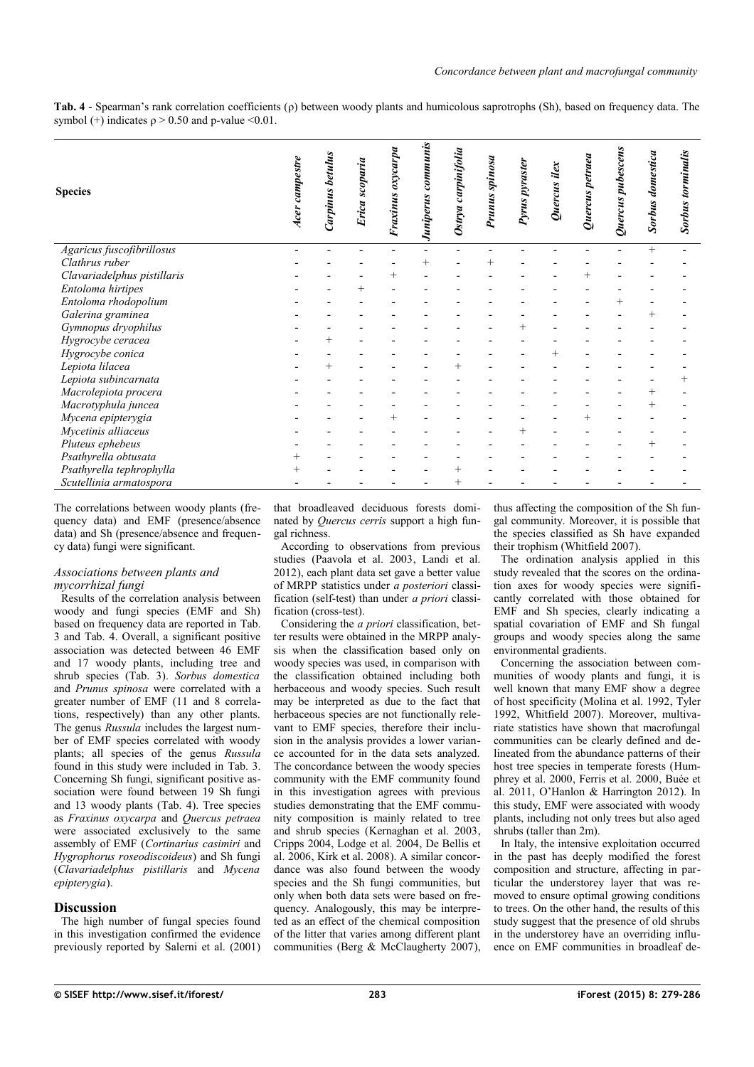<span id="page-4-0"></span>**Tab. 4** - Spearman's rank correlation coefficients (ρ) between woody plants and humicolous saprotrophs (Sh), based on frequency data. The symbol (+) indicates  $\rho > 0.50$  and p-value <0.01.

| <b>Species</b>              | Acer campestre | betulus<br>Carpinus | scoparia<br><b>Erica</b> | oxycarpa<br><b>Fraxinus</b> | <b>unus</b><br>comm<br><b>Iuniperus</b> | carpinifolia<br>Ostrya | Prunus spinosa | Pyrus pyraster | Quercus ilex | $Q$ uer $c$ us petrae $a$ | pubescens<br>Quercus | Sorbus domestica | Sorbus torminalis |
|-----------------------------|----------------|---------------------|--------------------------|-----------------------------|-----------------------------------------|------------------------|----------------|----------------|--------------|---------------------------|----------------------|------------------|-------------------|
| Agaricus fuscofibrillosus   |                |                     |                          |                             |                                         |                        |                |                |              |                           |                      | $^{+}$           |                   |
| Clathrus ruber              |                |                     |                          |                             |                                         |                        |                |                |              |                           |                      |                  |                   |
| Clavariadelphus pistillaris |                |                     |                          |                             |                                         |                        |                |                |              |                           |                      |                  |                   |
| Entoloma hirtipes           |                |                     |                          |                             |                                         |                        |                |                |              |                           |                      |                  |                   |
| Entoloma rhodopolium        |                |                     |                          |                             |                                         |                        |                |                |              |                           | $^{+}$               |                  |                   |
| Galerina graminea           |                |                     |                          |                             |                                         |                        |                |                |              |                           |                      |                  |                   |
| Gymnopus dryophilus         |                |                     |                          |                             |                                         |                        |                |                |              |                           |                      |                  |                   |
| Hygrocybe ceracea           |                |                     |                          |                             |                                         |                        |                |                |              |                           |                      |                  |                   |
| Hygrocybe conica            |                |                     |                          |                             |                                         |                        |                |                |              |                           |                      |                  |                   |
| Lepiota lilacea             |                |                     |                          |                             |                                         |                        |                |                |              |                           |                      |                  |                   |
| Lepiota subincarnata        |                |                     |                          |                             |                                         |                        |                |                |              |                           |                      |                  |                   |
| Macrolepiota procera        |                |                     |                          |                             |                                         |                        |                |                |              |                           |                      |                  |                   |
| Macrotyphula juncea         |                |                     |                          |                             |                                         |                        |                |                |              |                           |                      |                  |                   |
| Mycena epipterygia          |                |                     |                          |                             |                                         |                        |                |                |              |                           |                      |                  |                   |
| Mycetinis alliaceus         |                |                     |                          |                             |                                         |                        |                |                |              |                           |                      |                  |                   |
| Pluteus ephebeus            |                |                     |                          |                             |                                         |                        |                |                |              |                           |                      |                  |                   |
| Psathyrella obtusata        |                |                     |                          |                             |                                         |                        |                |                |              |                           |                      |                  |                   |
| Psathyrella tephrophylla    | $^{+}$         |                     |                          |                             |                                         |                        |                |                |              |                           |                      |                  |                   |
| Scutellinia armatospora     |                |                     |                          |                             |                                         |                        |                |                |              |                           |                      |                  |                   |

The correlations between woody plants (frequency data) and EMF (presence/absence data) and Sh (presence/absence and frequency data) fungi were significant.

## *Associations between plants and mycorrhizal fungi*

Results of the correlation analysis between woody and fungi species (EMF and Sh) based on frequency data are reported in [Tab.](#page-3-0) [3](#page-3-0) and [Tab. 4.](#page-4-0) Overall, a significant positive association was detected between 46 EMF and 17 woody plants, including tree and shrub species [\(Tab. 3\)](#page-3-0). *Sorbus domestica* and *Prunus spinosa* were correlated with a greater number of EMF (11 and 8 correlations, respectively) than any other plants. The genus *Russula* includes the largest number of EMF species correlated with woody plants; all species of the genus *Russula* found in this study were included in [Tab. 3.](#page-3-0) Concerning Sh fungi, significant positive association were found between 19 Sh fungi and 13 woody plants [\(Tab. 4\)](#page-4-0). Tree species as *Fraxinus oxycarpa* and *Quercus petraea* were associated exclusively to the same assembly of EMF (*Cortinarius casimiri* and *Hygrophorus roseodiscoideus*) and Sh fungi (*Clavariadelphus pistillaris* and *Mycena epipterygia*).

# **Discussion**

The high number of fungal species found in this investigation confirmed the evidence previously reported by Salerni et al. (2001) that broadleaved deciduous forests dominated by *Quercus cerris* support a high fungal richness.

According to observations from previous studies (Paavola et al. 2003, Landi et al. 2012), each plant data set gave a better value of MRPP statistics under *a posteriori* classification (self-test) than under *a priori* classification (cross-test).

Considering the *a priori* classification, better results were obtained in the MRPP analysis when the classification based only on woody species was used, in comparison with the classification obtained including both herbaceous and woody species. Such result may be interpreted as due to the fact that herbaceous species are not functionally relevant to EMF species, therefore their inclusion in the analysis provides a lower variance accounted for in the data sets analyzed. The concordance between the woody species community with the EMF community found in this investigation agrees with previous studies demonstrating that the EMF community composition is mainly related to tree and shrub species (Kernaghan et al. 2003, Cripps 2004, Lodge et al. 2004, De Bellis et al. 2006, Kirk et al. 2008). A similar concordance was also found between the woody species and the Sh fungi communities, but only when both data sets were based on frequency. Analogously, this may be interpreted as an effect of the chemical composition of the litter that varies among different plant communities (Berg & McClaugherty 2007), thus affecting the composition of the Sh fungal community. Moreover, it is possible that the species classified as Sh have expanded their trophism (Whitfield 2007).

The ordination analysis applied in this study revealed that the scores on the ordination axes for woody species were significantly correlated with those obtained for EMF and Sh species, clearly indicating a spatial covariation of EMF and Sh fungal groups and woody species along the same environmental gradients.

Concerning the association between communities of woody plants and fungi, it is well known that many EMF show a degree of host specificity (Molina et al. 1992, Tyler 1992, Whitfield 2007). Moreover, multivariate statistics have shown that macrofungal communities can be clearly defined and delineated from the abundance patterns of their host tree species in temperate forests (Humphrey et al. 2000, Ferris et al. 2000, Buée et al. 2011, O'Hanlon & Harrington 2012). In this study, EMF were associated with woody plants, including not only trees but also aged shrubs (taller than 2m).

In Italy, the intensive exploitation occurred in the past has deeply modified the forest composition and structure, affecting in particular the understorey layer that was removed to ensure optimal growing conditions to trees. On the other hand, the results of this study suggest that the presence of old shrubs in the understorey have an overriding influence on EMF communities in broadleaf de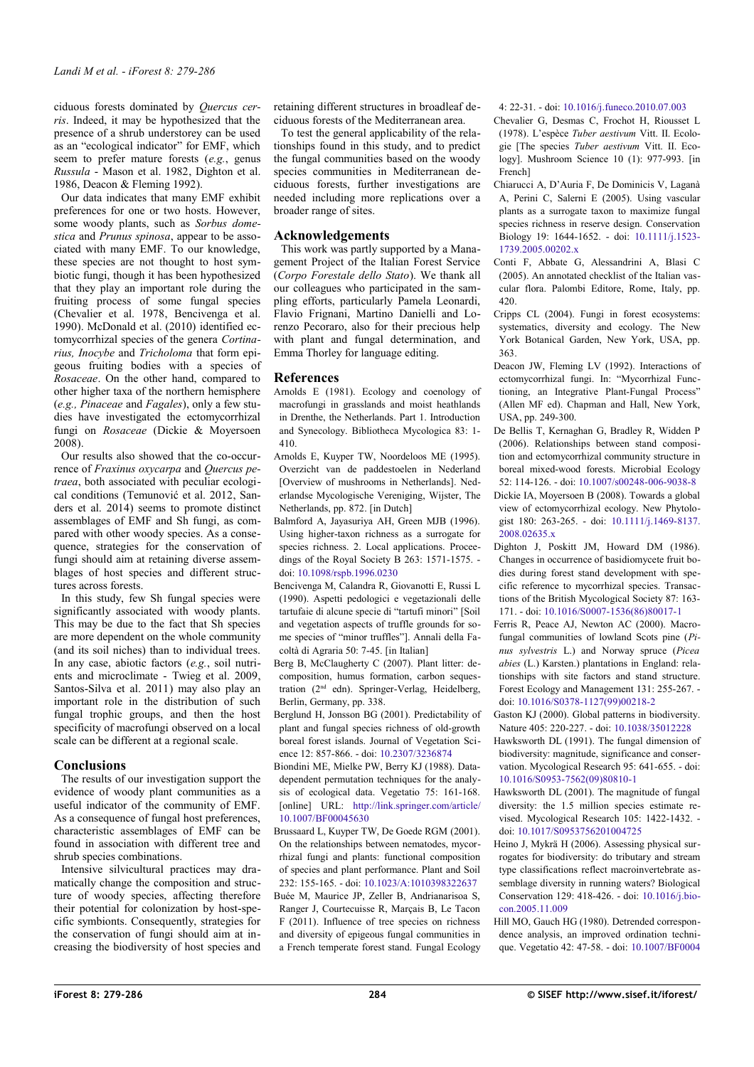ciduous forests dominated by *Quercus cerris*. Indeed, it may be hypothesized that the presence of a shrub understorey can be used as an "ecological indicator" for EMF, which seem to prefer mature forests (*e.g.*, genus *Russula* - Mason et al. 1982, Dighton et al. 1986, Deacon & Fleming 1992).

Our data indicates that many EMF exhibit preferences for one or two hosts. However, some woody plants, such as *Sorbus domestica* and *Prunus spinosa*, appear to be associated with many EMF. To our knowledge, these species are not thought to host symbiotic fungi, though it has been hypothesized that they play an important role during the fruiting process of some fungal species (Chevalier et al. 1978, Bencivenga et al. 1990). McDonald et al. (2010) identified ectomycorrhizal species of the genera *Cortinarius, Inocybe* and *Tricholoma* that form epigeous fruiting bodies with a species of *Rosaceae*. On the other hand, compared to other higher taxa of the northern hemisphere (*e.g., Pinaceae* and *Fagales*), only a few studies have investigated the ectomycorrhizal fungi on *Rosaceae* (Dickie & Moyersoen 2008).

Our results also showed that the co-occurrence of *Fraxinus oxycarpa* and *Quercus petraea*, both associated with peculiar ecological conditions (Temunović et al. 2012, Sanders et al. 2014) seems to promote distinct assemblages of EMF and Sh fungi, as compared with other woody species. As a consequence, strategies for the conservation of fungi should aim at retaining diverse assemblages of host species and different structures across forests.

In this study, few Sh fungal species were significantly associated with woody plants. This may be due to the fact that Sh species are more dependent on the whole community (and its soil niches) than to individual trees. In any case, abiotic factors (*e.g.*, soil nutrients and microclimate - Twieg et al. 2009, Santos-Silva et al. 2011) may also play an important role in the distribution of such fungal trophic groups, and then the host specificity of macrofungi observed on a local scale can be different at a regional scale.

# **Conclusions**

The results of our investigation support the evidence of woody plant communities as a useful indicator of the community of EMF. As a consequence of fungal host preferences, characteristic assemblages of EMF can be found in association with different tree and shrub species combinations.

Intensive silvicultural practices may dramatically change the composition and structure of woody species, affecting therefore their potential for colonization by host-specific symbionts. Consequently, strategies for the conservation of fungi should aim at increasing the biodiversity of host species and retaining different structures in broadleaf deciduous forests of the Mediterranean area.

To test the general applicability of the relationships found in this study, and to predict the fungal communities based on the woody species communities in Mediterranean deciduous forests, further investigations are needed including more replications over a broader range of sites.

# **Acknowledgements**

This work was partly supported by a Management Project of the Italian Forest Service (*Corpo Forestale dello Stato*). We thank all our colleagues who participated in the sampling efforts, particularly Pamela Leonardi, Flavio Frignani, Martino Danielli and Lorenzo Pecoraro, also for their precious help with plant and fungal determination, and Emma Thorley for language editing.

## **References**

- Arnolds E (1981). Ecology and coenology of macrofungi in grasslands and moist heathlands in Drenthe, the Netherlands. Part 1. Introduction and Synecology. Bibliotheca Mycologica 83: 1- 410.
- Arnolds E, Kuyper TW, Noordeloos ME (1995). Overzicht van de paddestoelen in Nederland [Overview of mushrooms in Netherlands]. Nederlandse Mycologische Vereniging, Wijster, The Netherlands, pp. 872. [in Dutch]
- Balmford A, Jayasuriya AH, Green MJB (1996). Using higher-taxon richness as a surrogate for species richness. 2. Local applications. Proceedings of the Royal Society B 263: 1571-1575. doi: [10.1098/rspb.1996.0230](http://dx.doi.org/10.1098/rspb.1996.0230)
- Bencivenga M, Calandra R, Giovanotti E, Russi L (1990). Aspetti pedologici e vegetazionali delle tartufaie di alcune specie di "tartufi minori" [Soil and vegetation aspects of truffle grounds for some species of "minor truffles"]. Annali della Facoltà di Agraria 50: 7-45. [in Italian]
- Berg B, McClaugherty C (2007). Plant litter: decomposition, humus formation, carbon sequestration (2nd edn). Springer-Verlag, Heidelberg, Berlin, Germany, pp. 338.
- Berglund H, Jonsson BG (2001). Predictability of plant and fungal species richness of old-growth boreal forest islands. Journal of Vegetation Science 12: 857-866. - doi: [10.2307/3236874](http://dx.doi.org/10.2307/3236874)
- Biondini ME, Mielke PW, Berry KJ (1988). Datadependent permutation techniques for the analysis of ecological data. Vegetatio 75: 161-168. [online] URL: [http://link.springer.com/article/](http://link.springer.com/article/10.1007/BF00045630) [10.1007/BF00045630](http://link.springer.com/article/10.1007/BF00045630)
- Brussaard L, Kuyper TW, De Goede RGM (2001). On the relationships between nematodes, mycorrhizal fungi and plants: functional composition of species and plant performance. Plant and Soil 232: 155-165. - doi: [10.1023/A:1010398322637](http://dx.doi.org/10.1023/A:1010398322637)
- Buée M, Maurice JP, Zeller B, Andrianarisoa S, Ranger J, Courtecuisse R, Marçais B, Le Tacon F (2011). Influence of tree species on richness and diversity of epigeous fungal communities in a French temperate forest stand. Fungal Ecology

#### 4: 22-31. - doi: [10.1016/j.funeco.2010.07.003](http://dx.doi.org/10.1016/j.funeco.2010.07.003)

- Chevalier G, Desmas C, Frochot H, Riousset L (1978). L'espèce *Tuber aestivum* Vitt. II. Ecologie [The species *Tuber aestivum* Vitt. II. Ecology]. Mushroom Science 10 (1): 977-993. [in French]
- Chiarucci A, D'Auria F, De Dominicis V, Laganà A, Perini C, Salerni E (2005). Using vascular plants as a surrogate taxon to maximize fungal species richness in reserve design. Conservation Biology 19: 1644-1652. - doi: [10.1111/j.1523-](http://dx.doi.org/10.1111/j.1523-1739.2005.00202.x) [1739.2005.00202.x](http://dx.doi.org/10.1111/j.1523-1739.2005.00202.x)
- Conti F, Abbate G, Alessandrini A, Blasi C (2005). An annotated checklist of the Italian vascular flora. Palombi Editore, Rome, Italy, pp. 420.
- Cripps CL (2004). Fungi in forest ecosystems: systematics, diversity and ecology. The New York Botanical Garden, New York, USA, pp. 363.
- Deacon JW, Fleming LV (1992). Interactions of ectomycorrhizal fungi. In: "Mycorrhizal Functioning, an Integrative Plant-Fungal Process" (Allen MF ed). Chapman and Hall, New York, USA, pp. 249-300.
- De Bellis T, Kernaghan G, Bradley R, Widden P (2006). Relationships between stand composition and ectomycorrhizal community structure in boreal mixed-wood forests. Microbial Ecology 52: 114-126. - doi: [10.1007/s00248-006-9038-8](http://dx.doi.org/10.1007/s00248-006-9038-8)
- Dickie IA, Moyersoen B (2008). Towards a global view of ectomycorrhizal ecology. New Phytologist 180: 263-265. - doi: [10.1111/j.1469-8137.](http://dx.doi.org/10.1111/j.1469-8137.2008.02635.x) 2008.02635 x
- Dighton J, Poskitt JM, Howard DM (1986). Changes in occurrence of basidiomycete fruit bodies during forest stand development with specific reference to mycorrhizal species. Transactions of the British Mycological Society 87: 163- 171. - doi: [10.1016/S0007-1536\(86\)80017-1](http://dx.doi.org/10.1016/S0007-1536(86)80017-1)
- Ferris R, Peace AJ, Newton AC (2000). Macrofungal communities of lowland Scots pine (*Pinus sylvestris* L.) and Norway spruce (*Picea abies* (L.) Karsten.) plantations in England: relationships with site factors and stand structure. Forest Ecology and Management 131: 255-267. doi: [10.1016/S0378-1127\(99\)00218-2](http://dx.doi.org/10.1016/S0378-1127(99)00218-2)
- Gaston KJ (2000). Global patterns in biodiversity. Nature 405: 220-227. - doi: [10.1038/35012228](http://dx.doi.org/10.1038/35012228)
- Hawksworth DL (1991). The fungal dimension of biodiversity: magnitude, significance and conservation. Mycological Research 95: 641-655. - doi: [10.1016/S0953-7562\(09\)80810-1](http://dx.doi.org/10.1016/S0953-7562(09)80810-1)
- Hawksworth DL (2001). The magnitude of fungal diversity: the 1.5 million species estimate revised. Mycological Research 105: 1422-1432. doi: [10.1017/S0953756201004725](http://dx.doi.org/10.1017/S0953756201004725)
- Heino J, Mykrä H (2006). Assessing physical surrogates for biodiversity: do tributary and stream type classifications reflect macroinvertebrate assemblage diversity in running waters? Biological Conservation 129: 418-426. - doi: [10.1016/j.bio](http://dx.doi.org/10.1016/j.biocon.2005.11.009)[con.2005.11.009](http://dx.doi.org/10.1016/j.biocon.2005.11.009)
- Hill MO, Gauch HG (1980). Detrended correspondence analysis, an improved ordination technique. Vegetatio 42: 47-58. - doi: [10.1007/BF0004](http://dx.doi.org/10.1007/BF00048870)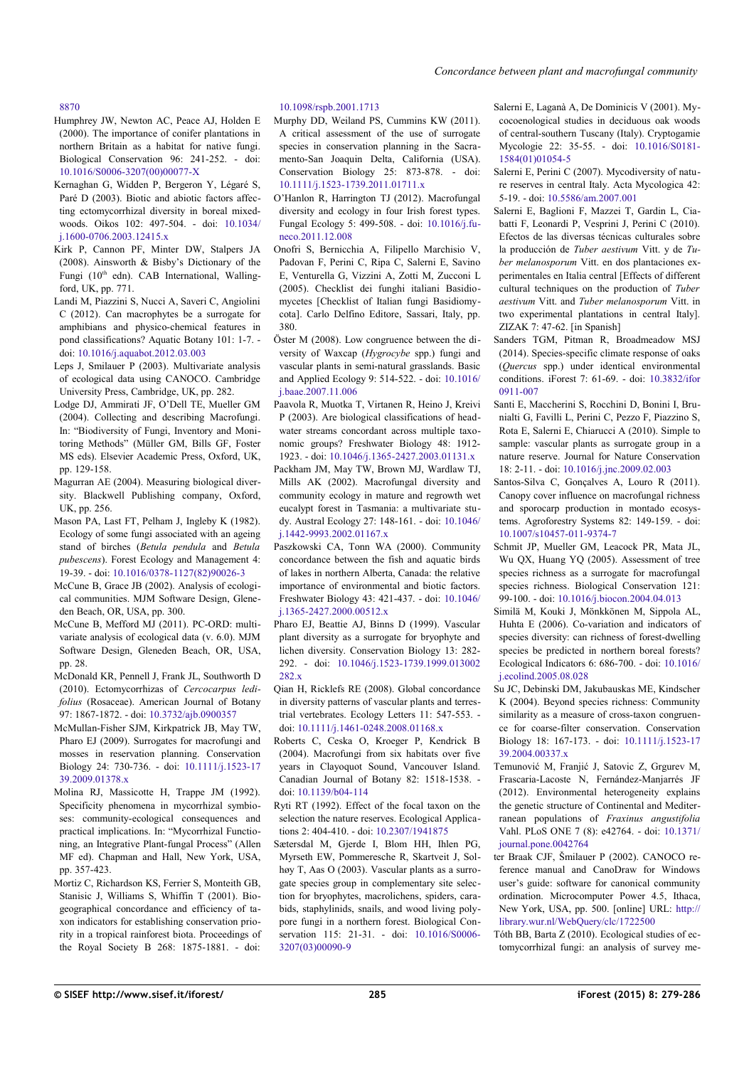#### [8870](http://dx.doi.org/10.1007/BF00048870)

- Humphrey JW, Newton AC, Peace AJ, Holden E (2000). The importance of conifer plantations in northern Britain as a habitat for native fungi. Biological Conservation 96: 241-252. - doi: [10.1016/S0006-3207\(00\)00077-X](http://dx.doi.org/10.1016/S0006-3207(00)00077-X)
- Kernaghan G, Widden P, Bergeron Y, Légaré S, Paré D (2003). Biotic and abiotic factors affecting ectomycorrhizal diversity in boreal mixedwoods. Oikos 102: 497-504. - doi: [10.1034/](http://dx.doi.org/10.1034/j.1600-0706.2003.12415.x) [j.1600-0706.2003.12415.x](http://dx.doi.org/10.1034/j.1600-0706.2003.12415.x)
- Kirk P, Cannon PF, Minter DW, Stalpers JA (2008). Ainsworth & Bisby's Dictionary of the Fungi (10<sup>th</sup> edn). CAB International, Wallingford, UK, pp. 771.
- Landi M, Piazzini S, Nucci A, Saveri C, Angiolini C (2012). Can macrophytes be a surrogate for amphibians and physico-chemical features in pond classifications? Aquatic Botany 101: 1-7. doi: [10.1016/j.aquabot.2012.03.003](http://dx.doi.org/10.1016/j.aquabot.2012.03.003)
- Leps J, Smilauer P (2003). Multivariate analysis of ecological data using CANOCO. Cambridge University Press, Cambridge, UK, pp. 282.
- Lodge DJ, Ammirati JF, O'Dell TE, Mueller GM (2004). Collecting and describing Macrofungi. In: "Biodiversity of Fungi, Inventory and Monitoring Methods" (Müller GM, Bills GF, Foster MS eds). Elsevier Academic Press, Oxford, UK, pp. 129-158.
- Magurran AE (2004). Measuring biological diversity. Blackwell Publishing company, Oxford, UK, pp. 256.
- Mason PA, Last FT, Pelham J, Ingleby K (1982). Ecology of some fungi associated with an ageing stand of birches (*Betula pendula* and *Betula pubescens*). Forest Ecology and Management 4: 19-39. - doi: [10.1016/0378-1127\(82\)90026-3](http://dx.doi.org/10.1016/0378-1127(82)90026-3)
- McCune B, Grace JB (2002). Analysis of ecological communities. MJM Software Design, Gleneden Beach, OR, USA, pp. 300.
- McCune B, Mefford MJ (2011). PC-ORD: multivariate analysis of ecological data (v. 6.0). MJM Software Design, Gleneden Beach, OR, USA, pp. 28.
- McDonald KR, Pennell J, Frank JL, Southworth D (2010). Ectomycorrhizas of *Cercocarpus ledifolius* (Rosaceae). American Journal of Botany 97: 1867-1872. - doi: [10.3732/ajb.0900357](http://dx.doi.org/10.3732/ajb.0900357)
- McMullan-Fisher SJM, Kirkpatrick JB, May TW, Pharo EJ (2009). Surrogates for macrofungi and mosses in reservation planning. Conservation Biology 24: 730-736. - doi: [10.1111/j.1523-17](http://dx.doi.org/10.1111/j.1523-1739.2009.01378.x) [39.2009.01378.x](http://dx.doi.org/10.1111/j.1523-1739.2009.01378.x)
- Molina RJ, Massicotte H, Trappe JM (1992). Specificity phenomena in mycorrhizal symbioses: community-ecological consequences and practical implications. In: "Mycorrhizal Functioning, an Integrative Plant-fungal Process" (Allen MF ed). Chapman and Hall, New York, USA, pp. 357-423.
- Mortiz C, Richardson KS, Ferrier S, Monteith GB, Stanisic J, Williams S, Whiffin T (2001). Biogeographical concordance and efficiency of taxon indicators for establishing conservation priority in a tropical rainforest biota. Proceedings of the Royal Society B 268: 1875-1881. - doi:

[10.1098/rspb.2001.1713](http://dx.doi.org/10.1098/rspb.2001.1713)

- Murphy DD, Weiland PS, Cummins KW (2011). A critical assessment of the use of surrogate species in conservation planning in the Sacramento-San Joaquin Delta, California (USA). Conservation Biology 25: 873-878. - doi: [10.1111/j.1523-1739.2011.01711.x](http://dx.doi.org/10.1111/j.1523-1739.2011.01711.x)
- O'Hanlon R, Harrington TJ (2012). Macrofungal diversity and ecology in four Irish forest types. Fungal Ecology 5: 499-508. - doi: [10.1016/j.fu](http://dx.doi.org/10.1016/j.funeco.2011.12.008)[neco.2011.12.008](http://dx.doi.org/10.1016/j.funeco.2011.12.008)
- Onofri S, Bernicchia A, Filipello Marchisio V, Padovan F, Perini C, Ripa C, Salerni E, Savino E, Venturella G, Vizzini A, Zotti M, Zucconi L (2005). Checklist dei funghi italiani Basidiomycetes [Checklist of Italian fungi Basidiomycota]. Carlo Delfino Editore, Sassari, Italy, pp. 380.
- Öster M (2008). Low congruence between the diversity of Waxcap (*Hygrocybe* spp.) fungi and vascular plants in semi-natural grasslands. Basic and Applied Ecology 9: 514-522. - doi: [10.1016/](http://dx.doi.org/10.1016/j.baae.2007.11.006) [j.baae.2007.11.006](http://dx.doi.org/10.1016/j.baae.2007.11.006)
- Paavola R, Muotka T, Virtanen R, Heino J, Kreivi P (2003). Are biological classifications of headwater streams concordant across multiple taxonomic groups? Freshwater Biology 48: 1912- 1923. - doi: [10.1046/j.1365-2427.2003.01131.x](http://dx.doi.org/10.1046/j.1365-2427.2003.01131.x)
- Packham JM, May TW, Brown MJ, Wardlaw TJ, Mills AK (2002). Macrofungal diversity and community ecology in mature and regrowth wet eucalypt forest in Tasmania: a multivariate study. Austral Ecology 27: 148-161. - doi: [10.1046/](http://dx.doi.org/10.1046/j.1442-9993.2002.01167.x) [j.1442-9993.2002.01167.x](http://dx.doi.org/10.1046/j.1442-9993.2002.01167.x)
- Paszkowski CA, Tonn WA (2000). Community concordance between the fish and aquatic birds of lakes in northern Alberta, Canada: the relative importance of environmental and biotic factors. Freshwater Biology 43: 421-437. - doi: [10.1046/](http://dx.doi.org/10.1046/j.1365-2427.2000.00512.x) [j.1365-2427.2000.00512.x](http://dx.doi.org/10.1046/j.1365-2427.2000.00512.x)
- Pharo EJ, Beattie AJ, Binns D (1999). Vascular plant diversity as a surrogate for bryophyte and lichen diversity. Conservation Biology 13: 282- 292. - doi: [10.1046/j.1523-1739.1999.013002](http://dx.doi.org/10.1046/j.1523-1739.1999.013002282.x) [282.x](http://dx.doi.org/10.1046/j.1523-1739.1999.013002282.x)
- Qian H, Ricklefs RE (2008). Global concordance in diversity patterns of vascular plants and terrestrial vertebrates. Ecology Letters 11: 547-553. doi: [10.1111/j.1461-0248.2008.01168.x](http://dx.doi.org/10.1111/j.1461-0248.2008.01168.x)
- Roberts C, Ceska O, Kroeger P, Kendrick B (2004). Macrofungi from six habitats over five years in Clayoquot Sound, Vancouver Island. Canadian Journal of Botany 82: 1518-1538. doi: [10.1139/b04-114](http://dx.doi.org/10.1139/b04-114)
- Ryti RT (1992). Effect of the focal taxon on the selection the nature reserves. Ecological Applications 2: 404-410. - doi: [10.2307/1941875](http://dx.doi.org/10.2307/1941875)
- Sætersdal M, Gjerde I, Blom HH, Ihlen PG, Myrseth EW, Pommeresche R, Skartveit J, Solhøy T, Aas O (2003). Vascular plants as a surrogate species group in complementary site selection for bryophytes, macrolichens, spiders, carabids, staphylinids, snails, and wood living polypore fungi in a northern forest. Biological Conservation 115: 21-31. - doi: [10.1016/S0006-](http://dx.doi.org/10.1016/S0006-3207(03)00090-9) [3207\(03\)00090-9](http://dx.doi.org/10.1016/S0006-3207(03)00090-9)

Salerni E, Laganà A, De Dominicis V (2001). Mycocoenological studies in deciduous oak woods of central-southern Tuscany (Italy). Cryptogamie Mycologie 22: 35-55. - doi: [10.1016/S0181-](http://dx.doi.org/10.1016/S0181-1584(01)01054-5) [1584\(01\)01054-5](http://dx.doi.org/10.1016/S0181-1584(01)01054-5)

- Salerni E, Perini C (2007). Mycodiversity of nature reserves in central Italy. Acta Mycologica 42: 5-19. - doi: [10.5586/am.2007.001](http://dx.doi.org/10.5586/am.2007.001)
- Salerni E, Baglioni F, Mazzei T, Gardin L, Ciabatti F, Leonardi P, Vesprini J, Perini C (2010). Efectos de las diversas técnicas culturales sobre la producción de *Tuber aestivum* Vitt. y de *Tuber melanosporum* Vitt. en dos plantaciones experimentales en Italia central [Effects of different cultural techniques on the production of *Tuber aestivum* Vitt. and *Tuber melanosporum* Vitt. in two experimental plantations in central Italy]. ZIZAK 7: 47-62. [in Spanish]
- Sanders TGM, Pitman R, Broadmeadow MSJ (2014). Species-specific climate response of oaks (*Quercus* spp.) under identical environmental conditions. iForest 7: 61-69. - doi: [10.3832/ifor](http://dx.doi.org/10.3832/ifor0911-007) [0911-007](http://dx.doi.org/10.3832/ifor0911-007)
- Santi E, Maccherini S, Rocchini D, Bonini I, Brunialti G, Favilli L, Perini C, Pezzo F, Piazzino S, Rota E, Salerni E, Chiarucci A (2010). Simple to sample: vascular plants as surrogate group in a nature reserve. Journal for Nature Conservation 18: 2-11. - doi: [10.1016/j.jnc.2009.02.003](http://dx.doi.org/10.1016/j.jnc.2009.02.003)
- Santos-Silva C, Gonçalves A, Louro R (2011). Canopy cover influence on macrofungal richness and sporocarp production in montado ecosystems. Agroforestry Systems 82: 149-159. - doi: [10.1007/s10457-011-9374-7](http://dx.doi.org/10.1007/s10457-011-9374-7)
- Schmit JP, Mueller GM, Leacock PR, Mata JL, Wu QX, Huang YQ (2005). Assessment of tree species richness as a surrogate for macrofungal species richness. Biological Conservation 121: 99-100. - doi: [10.1016/j.biocon.2004.04.013](http://dx.doi.org/10.1016/j.biocon.2004.04.013)
- Similä M, Kouki J, Mönkkönen M, Sippola AL, Huhta E (2006). Co-variation and indicators of species diversity: can richness of forest-dwelling species be predicted in northern boreal forests? Ecological Indicators 6: 686-700. - doi: [10.1016/](http://dx.doi.org/10.1016/j.ecolind.2005.08.028) [j.ecolind.2005.08.028](http://dx.doi.org/10.1016/j.ecolind.2005.08.028)
- Su JC, Debinski DM, Jakubauskas ME, Kindscher K (2004). Beyond species richness: Community similarity as a measure of cross-taxon congruence for coarse-filter conservation. Conservation Biology 18: 167-173. - doi: [10.1111/j.1523-17](http://dx.doi.org/10.1111/j.1523-1739.2004.00337.x) [39.2004.00337.x](http://dx.doi.org/10.1111/j.1523-1739.2004.00337.x)
- Temunović M, Franjić J, Satovic Z, Grgurev M, Frascaria-Lacoste N, Fernández-Manjarrés JF (2012). Environmental heterogeneity explains the genetic structure of Continental and Mediterranean populations of *Fraxinus angustifolia* Vahl. PLoS ONE 7 (8): e42764. - doi: [10.1371/](http://dx.doi.org/10.1371/journal.pone.0042764) [journal.pone.0042764](http://dx.doi.org/10.1371/journal.pone.0042764)
- ter Braak CJF, Šmilauer P (2002). CANOCO reference manual and CanoDraw for Windows user's guide: software for canonical community ordination. Microcomputer Power 4.5, Ithaca, New York, USA, pp. 500. [online] URL: [http://](http://library.wur.nl/WebQuery/clc/1722500) [library.wur.nl/WebQuery/clc/1722500](http://library.wur.nl/WebQuery/clc/1722500)
- Tóth BB, Barta Z (2010). Ecological studies of ectomycorrhizal fungi: an analysis of survey me-